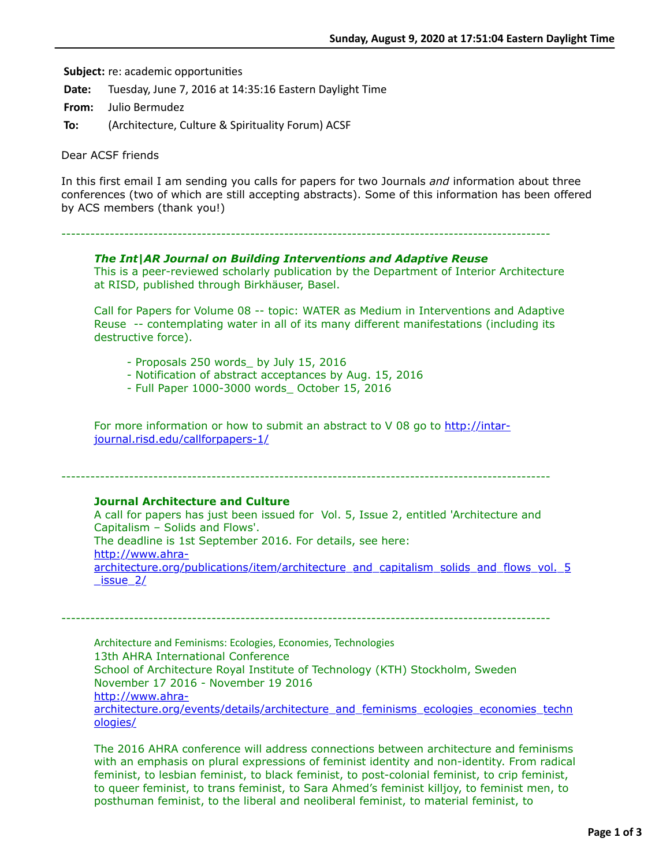**Subject:** re: academic opportunities

**Date:** Tuesday, June 7, 2016 at 14:35:16 Eastern Daylight Time

**From:** Julio Bermudez

**To:** (Architecture, Culture & Spirituality Forum) ACSF

Dear ACSF friends

In this first email I am sending you calls for papers for two Journals *and* information about three conferences (two of which are still accepting abstracts). Some of this information has been offered by ACS members (thank you!)

-----------------------------------------------------------------------------------------------------

## *The Int|AR Journal on Building Interventions and Adaptive Reuse*

This is a peer-reviewed scholarly publication by the Department of Interior Architecture at RISD, published through Birkhäuser, Basel.

Call for Papers for Volume 08 -- topic: WATER as Medium in Interventions and Adaptive Reuse -- contemplating water in all of its many different manifestations (including its destructive force).

- Proposals 250 words\_ by July 15, 2016
- Notification of abstract acceptances by Aug. 15, 2016
- Full Paper 1000-3000 words\_ October 15, 2016

[For more information or how to submit an abstract to V 08 go to http://intar](http://intar-journal.risd.edu/callforpapers-1/)journal.risd.edu/callforpapers-1/

-----------------------------------------------------------------------------------------------------

# **Journal Architecture and Culture**

A call for papers has just been issued for Vol. 5, Issue 2, entitled 'Architecture and Capitalism – Solids and Flows'. The deadline is 1st September 2016. For details, see here: http://www.ahra[architecture.org/publications/item/architecture\\_and\\_capitalism\\_solids\\_and\\_flows\\_vol.\\_5](http://www.ahra-architecture.org/publications/item/architecture_and_capitalism_solids_and_flows_vol._5_issue_2/)  $\sqrt{2}$  issue 2/

Architecture and Feminisms: Ecologies, Economies, Technologies 13th AHRA International Conference School of Architecture Royal Institute of Technology (KTH) Stockholm, Sweden November 17 2016 - November 19 2016 http://www.ahra[architecture.org/events/details/architecture\\_and\\_feminisms\\_ecologies\\_economies\\_techn](http://www.ahra-architecture.org/events/details/architecture_and_feminisms_ecologies_economies_technologies/) ologies/

-----------------------------------------------------------------------------------------------------

The 2016 AHRA conference will address connections between architecture and feminisms with an emphasis on plural expressions of feminist identity and non-identity. From radical feminist, to lesbian feminist, to black feminist, to post-colonial feminist, to crip feminist, to queer feminist, to trans feminist, to Sara Ahmed's feminist killjoy, to feminist men, to posthuman feminist, to the liberal and neoliberal feminist, to material feminist, to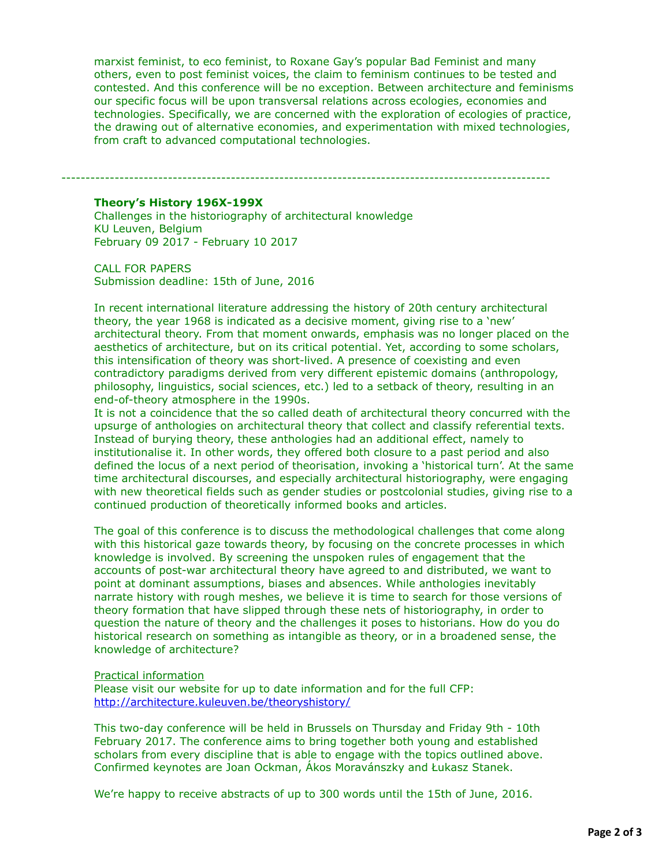marxist feminist, to eco feminist, to Roxane Gay's popular Bad Feminist and many others, even to post feminist voices, the claim to feminism continues to be tested and contested. And this conference will be no exception. Between architecture and feminisms our specific focus will be upon transversal relations across ecologies, economies and technologies. Specifically, we are concerned with the exploration of ecologies of practice, the drawing out of alternative economies, and experimentation with mixed technologies, from craft to advanced computational technologies.

-----------------------------------------------------------------------------------------------------

### **Theory's History 196X-199X**

Challenges in the historiography of architectural knowledge KU Leuven, Belgium February 09 2017 - February 10 2017

CALL FOR PAPERS Submission deadline: 15th of June, 2016

In recent international literature addressing the history of 20th century architectural theory, the year 1968 is indicated as a decisive moment, giving rise to a 'new' architectural theory. From that moment onwards, emphasis was no longer placed on the aesthetics of architecture, but on its critical potential. Yet, according to some scholars, this intensification of theory was short-lived. A presence of coexisting and even contradictory paradigms derived from very different epistemic domains (anthropology, philosophy, linguistics, social sciences, etc.) led to a setback of theory, resulting in an end-of-theory atmosphere in the 1990s.

It is not a coincidence that the so called death of architectural theory concurred with the upsurge of anthologies on architectural theory that collect and classify referential texts. Instead of burying theory, these anthologies had an additional effect, namely to institutionalise it. In other words, they offered both closure to a past period and also defined the locus of a next period of theorisation, invoking a 'historical turn'. At the same time architectural discourses, and especially architectural historiography, were engaging with new theoretical fields such as gender studies or postcolonial studies, giving rise to a continued production of theoretically informed books and articles.

The goal of this conference is to discuss the methodological challenges that come along with this historical gaze towards theory, by focusing on the concrete processes in which knowledge is involved. By screening the unspoken rules of engagement that the accounts of post-war architectural theory have agreed to and distributed, we want to point at dominant assumptions, biases and absences. While anthologies inevitably narrate history with rough meshes, we believe it is time to search for those versions of theory formation that have slipped through these nets of historiography, in order to question the nature of theory and the challenges it poses to historians. How do you do historical research on something as intangible as theory, or in a broadened sense, the knowledge of architecture?

#### Practical information

Please visit our website for up to date information and for the full CFP: <http://architecture.kuleuven.be/theoryshistory/>

This two-day conference will be held in Brussels on Thursday and Friday 9th - 10th February 2017. The conference aims to bring together both young and established scholars from every discipline that is able to engage with the topics outlined above. Confirmed keynotes are Joan Ockman, Ákos Moravánszky and Łukasz Stanek.

We're happy to receive abstracts of up to 300 words until the 15th of June, 2016.